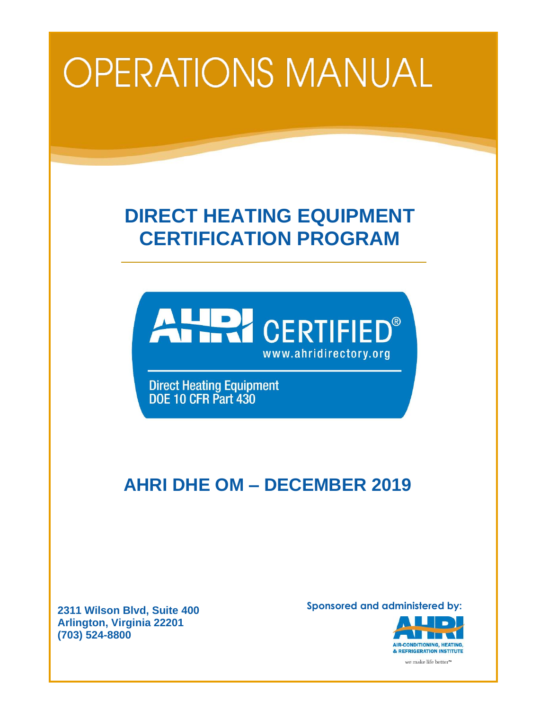# **OPERATIONS MANUAL**

# **DIRECT HEATING EQUIPMENT CERTIFICATION PROGRAM**



**Direct Heating Equipment** DOE 10 CFR Part 430

# **AHRI DHE OM – DECEMBER 2019**

**2311 Wilson Blvd, Suite 400 Arlington, Virginia 22201 (703) 524-8800**

**Sponsored and administered by:**



we make life better<sup>™</sup>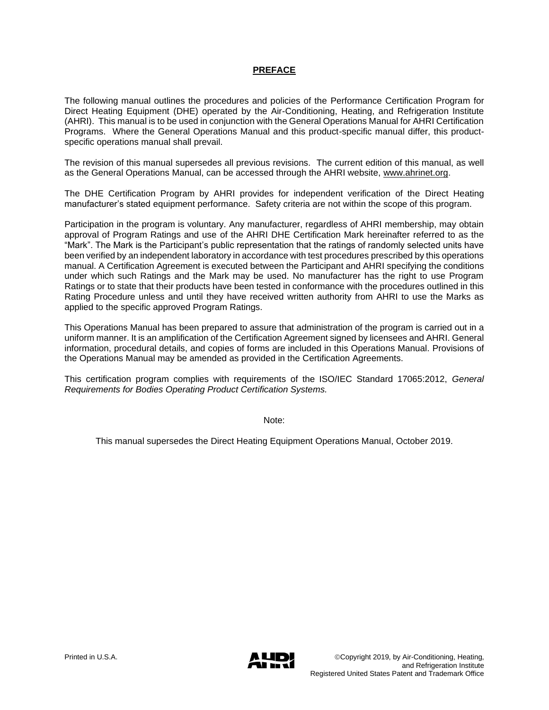# **PREFACE**

The following manual outlines the procedures and policies of the Performance Certification Program for Direct Heating Equipment (DHE) operated by the Air-Conditioning, Heating, and Refrigeration Institute (AHRI). This manual is to be used in conjunction with the General Operations Manual for AHRI Certification Programs. Where the General Operations Manual and this product-specific manual differ, this productspecific operations manual shall prevail.

The revision of this manual supersedes all previous revisions. The current edition of this manual, as well as the General Operations Manual, can be accessed through the AHRI website, [www.ahrinet.org.](http://www.ahrinet.org/)

The DHE Certification Program by AHRI provides for independent verification of the Direct Heating manufacturer's stated equipment performance. Safety criteria are not within the scope of this program.

Participation in the program is voluntary. Any manufacturer, regardless of AHRI membership, may obtain approval of Program Ratings and use of the AHRI DHE Certification Mark hereinafter referred to as the "Mark". The Mark is the Participant's public representation that the ratings of randomly selected units have been verified by an independent laboratory in accordance with test procedures prescribed by this operations manual. A Certification Agreement is executed between the Participant and AHRI specifying the conditions under which such Ratings and the Mark may be used. No manufacturer has the right to use Program Ratings or to state that their products have been tested in conformance with the procedures outlined in this Rating Procedure unless and until they have received written authority from AHRI to use the Marks as applied to the specific approved Program Ratings.

This Operations Manual has been prepared to assure that administration of the program is carried out in a uniform manner. It is an amplification of the Certification Agreement signed by licensees and AHRI. General information, procedural details, and copies of forms are included in this Operations Manual. Provisions of the Operations Manual may be amended as provided in the Certification Agreements.

This certification program complies with requirements of the ISO/IEC Standard 17065:2012, *General Requirements for Bodies Operating Product Certification Systems.* 

Note:

This manual supersedes the Direct Heating Equipment Operations Manual, October 2019.

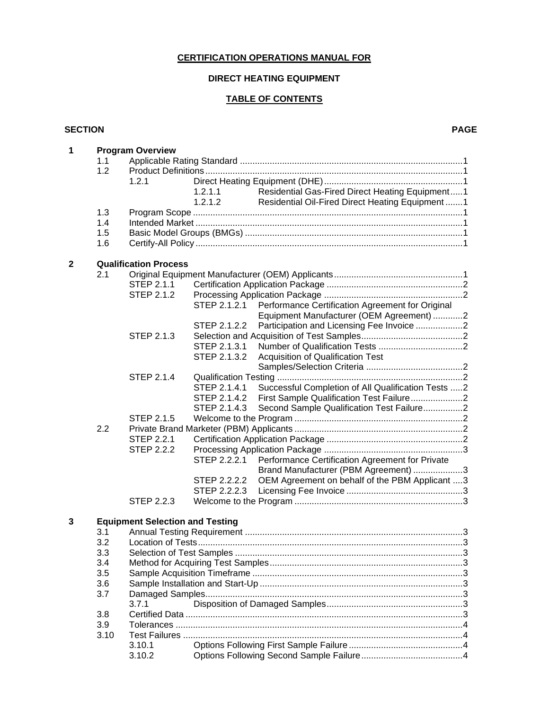# **CERTIFICATION OPERATIONS MANUAL FOR**

### **DIRECT HEATING EQUIPMENT**

# **TABLE OF CONTENTS**

#### **SECTION PAGE**

| 1           | <b>Program Overview</b> |                                        |              |                                                    |  |  |  |
|-------------|-------------------------|----------------------------------------|--------------|----------------------------------------------------|--|--|--|
|             | 1.1                     |                                        |              |                                                    |  |  |  |
|             | 1.2                     |                                        |              |                                                    |  |  |  |
|             |                         | 1.2.1                                  |              |                                                    |  |  |  |
|             |                         |                                        | 1.2.1.1      | Residential Gas-Fired Direct Heating Equipment1    |  |  |  |
|             |                         |                                        | 1,2,1,2      | Residential Oil-Fired Direct Heating Equipment 1   |  |  |  |
|             | 1.3                     |                                        |              |                                                    |  |  |  |
|             | 1.4                     |                                        |              |                                                    |  |  |  |
|             | 1.5                     |                                        |              |                                                    |  |  |  |
|             | 1.6                     |                                        |              |                                                    |  |  |  |
|             |                         |                                        |              |                                                    |  |  |  |
| $\mathbf 2$ |                         | <b>Qualification Process</b>           |              |                                                    |  |  |  |
|             | 2.1                     |                                        |              |                                                    |  |  |  |
|             |                         | STEP 2.1.1                             |              |                                                    |  |  |  |
|             |                         | <b>STEP 2.1.2</b>                      |              |                                                    |  |  |  |
|             |                         |                                        | STEP 2.1.2.1 | Performance Certification Agreement for Original   |  |  |  |
|             |                         |                                        |              | Equipment Manufacturer (OEM Agreement) 2           |  |  |  |
|             |                         |                                        | STEP 2.1.2.2 | Participation and Licensing Fee Invoice 2          |  |  |  |
|             |                         | <b>STEP 2.1.3</b>                      |              |                                                    |  |  |  |
|             |                         |                                        | STEP 2.1.3.1 |                                                    |  |  |  |
|             |                         |                                        | STEP 2.1.3.2 | <b>Acquisition of Qualification Test</b>           |  |  |  |
|             |                         |                                        |              |                                                    |  |  |  |
|             |                         | <b>STEP 2.1.4</b>                      |              |                                                    |  |  |  |
|             |                         |                                        | STEP 2.1.4.1 | Successful Completion of All Qualification Tests 2 |  |  |  |
|             |                         |                                        | STEP 2.1.4.2 | First Sample Qualification Test Failure2           |  |  |  |
|             |                         |                                        | STEP 2.1.4.3 | Second Sample Qualification Test Failure2          |  |  |  |
|             |                         | <b>STEP 2.1.5</b>                      |              |                                                    |  |  |  |
|             | 2.2                     |                                        |              |                                                    |  |  |  |
|             |                         | <b>STEP 2.2.1</b>                      |              |                                                    |  |  |  |
|             |                         | <b>STEP 2.2.2</b>                      |              |                                                    |  |  |  |
|             |                         |                                        | STEP 2.2.2.1 | Performance Certification Agreement for Private    |  |  |  |
|             |                         |                                        |              |                                                    |  |  |  |
|             |                         |                                        | STEP 2.2.2.2 | Brand Manufacturer (PBM Agreement) 3               |  |  |  |
|             |                         |                                        |              | OEM Agreement on behalf of the PBM Applicant 3     |  |  |  |
|             |                         |                                        |              |                                                    |  |  |  |
|             |                         | STEP 2.2.3                             |              |                                                    |  |  |  |
| 3           |                         | <b>Equipment Selection and Testing</b> |              |                                                    |  |  |  |
|             | 3.1                     |                                        |              |                                                    |  |  |  |
|             | 3.2                     |                                        |              |                                                    |  |  |  |
|             | 3.3                     |                                        |              |                                                    |  |  |  |
|             |                         |                                        |              |                                                    |  |  |  |
|             | 3.4                     |                                        |              |                                                    |  |  |  |
|             | 3.5                     |                                        |              |                                                    |  |  |  |
|             | 3.6                     |                                        |              |                                                    |  |  |  |
|             | 3.7                     |                                        |              |                                                    |  |  |  |
|             |                         | 3.7.1                                  |              |                                                    |  |  |  |
|             | 3.8                     |                                        |              |                                                    |  |  |  |
|             | 3.9                     |                                        |              |                                                    |  |  |  |
|             | 3.10                    |                                        |              |                                                    |  |  |  |
|             |                         | 3.10.1                                 |              |                                                    |  |  |  |
|             |                         | 3.10.2                                 |              |                                                    |  |  |  |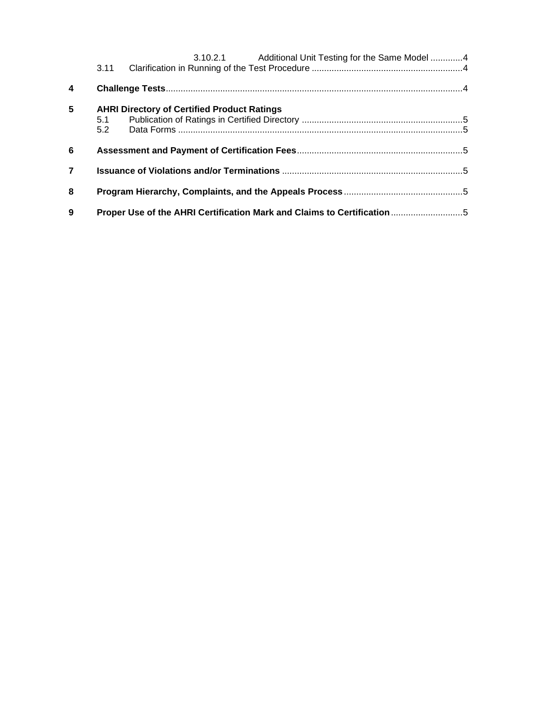|                  | 3.11                                                      | 3.10.2.1 Additional Unit Testing for the Same Model 4                   |  |  |  |  |
|------------------|-----------------------------------------------------------|-------------------------------------------------------------------------|--|--|--|--|
| $\boldsymbol{4}$ |                                                           |                                                                         |  |  |  |  |
| $5\phantom{.0}$  | <b>AHRI Directory of Certified Product Ratings</b><br>5.1 |                                                                         |  |  |  |  |
|                  | 5.2                                                       |                                                                         |  |  |  |  |
| 6                |                                                           |                                                                         |  |  |  |  |
| $\overline{7}$   |                                                           |                                                                         |  |  |  |  |
| 8                |                                                           |                                                                         |  |  |  |  |
| 9                |                                                           | Proper Use of the AHRI Certification Mark and Claims to Certification 5 |  |  |  |  |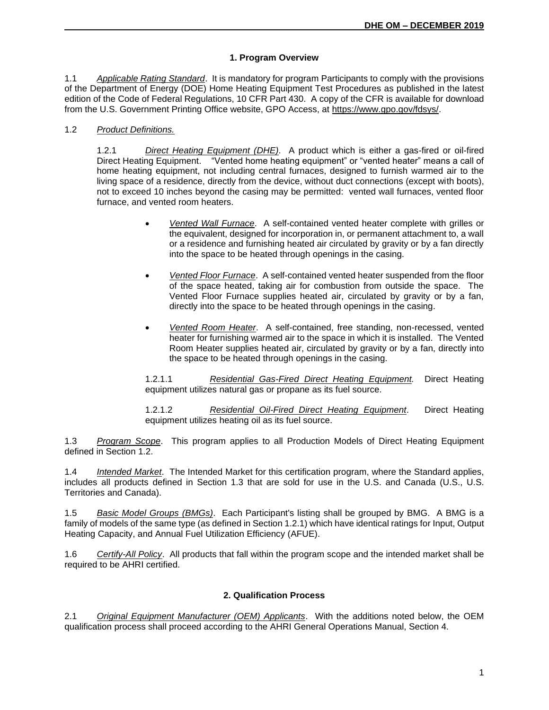# **1. Program Overview**

1.1 *Applicable Rating Standard*. It is mandatory for program Participants to comply with the provisions of the Department of Energy (DOE) Home Heating Equipment Test Procedures as published in the latest edition of the Code of Federal Regulations, 10 CFR Part 430. A copy of the CFR is available for download from the U.S. Government Printing Office website, GPO Access, at [https://www.gpo.gov/fdsys/.](https://www.gpo.gov/fdsys/)

# 1.2 *Product Definitions.*

1.2.1 *Direct Heating Equipment (DHE)*. A product which is either a gas-fired or oil-fired Direct Heating Equipment. "Vented home heating equipment" or "vented heater" means a call of home heating equipment, not including central furnaces, designed to furnish warmed air to the living space of a residence, directly from the device, without duct connections (except with boots), not to exceed 10 inches beyond the casing may be permitted: vented wall furnaces, vented floor furnace, and vented room heaters.

- *Vented Wall Furnace*. A self-contained vented heater complete with grilles or the equivalent, designed for incorporation in, or permanent attachment to, a wall or a residence and furnishing heated air circulated by gravity or by a fan directly into the space to be heated through openings in the casing.
- *Vented Floor Furnace*. A self-contained vented heater suspended from the floor of the space heated, taking air for combustion from outside the space. The Vented Floor Furnace supplies heated air, circulated by gravity or by a fan, directly into the space to be heated through openings in the casing.
- *Vented Room Heater*. A self-contained, free standing, non-recessed, vented heater for furnishing warmed air to the space in which it is installed. The Vented Room Heater supplies heated air, circulated by gravity or by a fan, directly into the space to be heated through openings in the casing.

1.2.1.1 *Residential Gas-Fired Direct Heating Equipment.* Direct Heating equipment utilizes natural gas or propane as its fuel source.

1.2.1.2 *Residential Oil-Fired Direct Heating Equipment*. Direct Heating equipment utilizes heating oil as its fuel source.

1.3 *Program Scope*. This program applies to all Production Models of Direct Heating Equipment defined in Section 1.2.

1.4 *Intended Market*. The Intended Market for this certification program, where the Standard applies, includes all products defined in Section 1.3 that are sold for use in the U.S. and Canada (U.S., U.S. Territories and Canada).

1.5 *Basic Model Groups (BMGs)*. Each Participant's listing shall be grouped by BMG. A BMG is a family of models of the same type (as defined in Section 1.2.1) which have identical ratings for Input, Output Heating Capacity, and Annual Fuel Utilization Efficiency (AFUE).

1.6 *Certify-All Policy*. All products that fall within the program scope and the intended market shall be required to be AHRI certified.

# **2. Qualification Process**

2.1 *Original Equipment Manufacturer (OEM) Applicants*. With the additions noted below, the OEM qualification process shall proceed according to the AHRI General Operations Manual, Section 4.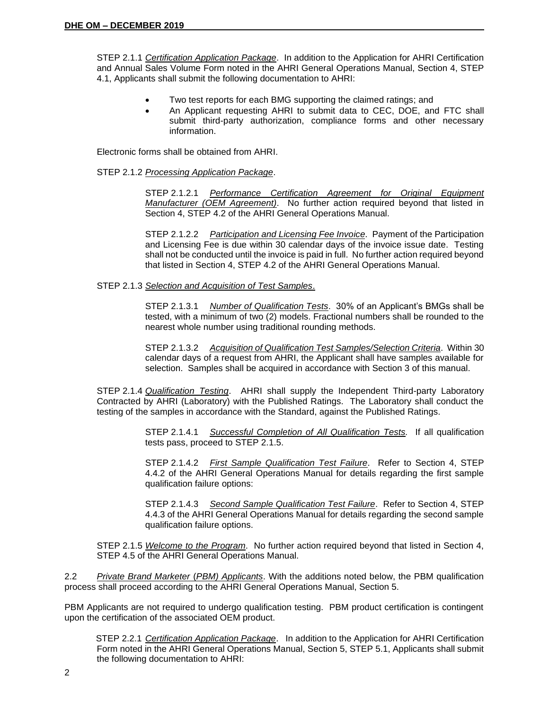STEP 2.1.1 *Certification Application Package*. In addition to the Application for AHRI Certification and Annual Sales Volume Form noted in the AHRI General Operations Manual, Section 4, STEP 4.1, Applicants shall submit the following documentation to AHRI:

- Two test reports for each BMG supporting the claimed ratings; and
- An Applicant requesting AHRI to submit data to CEC, DOE, and FTC shall submit third-party authorization, compliance forms and other necessary information.

Electronic forms shall be obtained from AHRI.

#### STEP 2.1.2 *Processing Application Package*.

STEP 2.1.2.1 *Performance Certification Agreement for Original Equipment Manufacturer (OEM Agreement)*. No further action required beyond that listed in Section 4, STEP 4.2 of the AHRI General Operations Manual.

STEP 2.1.2.2 *Participation and Licensing Fee Invoice*. Payment of the Participation and Licensing Fee is due within 30 calendar days of the invoice issue date. Testing shall not be conducted until the invoice is paid in full. No further action required beyond that listed in Section 4, STEP 4.2 of the AHRI General Operations Manual.

#### STEP 2.1.3 *Selection and Acquisition of Test Samples*.

STEP 2.1.3.1 *Number of Qualification Tests*. 30% of an Applicant's BMGs shall be tested, with a minimum of two (2) models. Fractional numbers shall be rounded to the nearest whole number using traditional rounding methods.

STEP 2.1.3.2 *Acquisition of Qualification Test Samples/Selection Criteria*. Within 30 calendar days of a request from AHRI, the Applicant shall have samples available for selection. Samples shall be acquired in accordance with Section 3 of this manual.

STEP 2.1.4 *Qualification Testing*. AHRI shall supply the Independent Third-party Laboratory Contracted by AHRI (Laboratory) with the Published Ratings. The Laboratory shall conduct the testing of the samples in accordance with the Standard, against the Published Ratings.

> STEP 2.1.4.1 *Successful Completion of All Qualification Tests.* If all qualification tests pass, proceed to STEP 2.1.5.

> STEP 2.1.4.2 *First Sample Qualification Test Failure*. Refer to Section 4, STEP 4.4.2 of the AHRI General Operations Manual for details regarding the first sample qualification failure options:

> STEP 2.1.4.3 *Second Sample Qualification Test Failure*. Refer to Section 4, STEP 4.4.3 of the AHRI General Operations Manual for details regarding the second sample qualification failure options.

STEP 2.1.5 *Welcome to the Program*. No further action required beyond that listed in Section 4, STEP 4.5 of the AHRI General Operations Manual.

2.2 *Private Brand Marketer* (*PBM) Applicants*. With the additions noted below, the PBM qualification process shall proceed according to the AHRI General Operations Manual, Section 5.

PBM Applicants are not required to undergo qualification testing. PBM product certification is contingent upon the certification of the associated OEM product.

STEP 2.2.1 *Certification Application Package*. In addition to the Application for AHRI Certification Form noted in the AHRI General Operations Manual, Section 5, STEP 5.1, Applicants shall submit the following documentation to AHRI: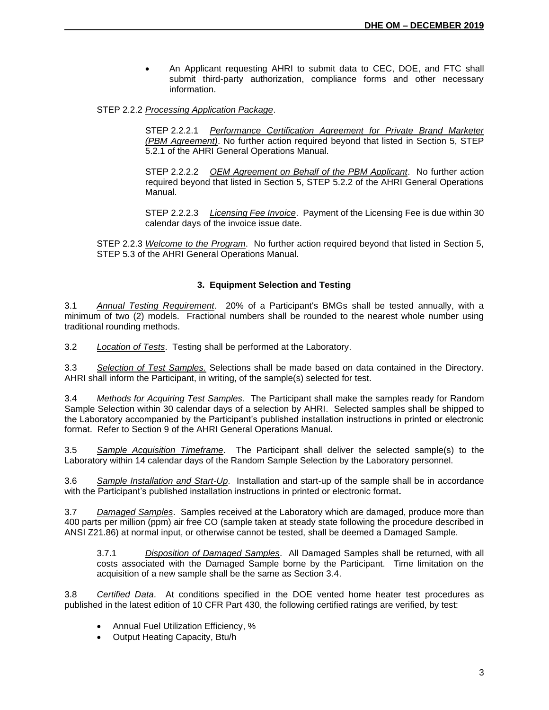• An Applicant requesting AHRI to submit data to CEC, DOE, and FTC shall submit third-party authorization, compliance forms and other necessary information.

STEP 2.2.2 *Processing Application Package*.

STEP 2.2.2.1 *Performance Certification Agreement for Private Brand Marketer (PBM Agreement)*. No further action required beyond that listed in Section 5, STEP 5.2.1 of the AHRI General Operations Manual.

STEP 2.2.2.2 *OEM Agreement on Behalf of the PBM Applicant*. No further action required beyond that listed in Section 5, STEP 5.2.2 of the AHRI General Operations Manual.

STEP 2.2.2.3 *Licensing Fee Invoice*. Payment of the Licensing Fee is due within 30 calendar days of the invoice issue date.

STEP 2.2.3 *Welcome to the Program*. No further action required beyond that listed in Section 5, STEP 5.3 of the AHRI General Operations Manual.

#### **3. Equipment Selection and Testing**

3.1 *Annual Testing Requirement*. 20% of a Participant's BMGs shall be tested annually, with a minimum of two (2) models. Fractional numbers shall be rounded to the nearest whole number using traditional rounding methods.

3.2 *Location of Tests*. Testing shall be performed at the Laboratory.

3.3 *Selection of Test Samples.* Selections shall be made based on data contained in the Directory. AHRI shall inform the Participant, in writing, of the sample(s) selected for test.

3.4 *Methods for Acquiring Test Samples*. The Participant shall make the samples ready for Random Sample Selection within 30 calendar days of a selection by AHRI. Selected samples shall be shipped to the Laboratory accompanied by the Participant's published installation instructions in printed or electronic format. Refer to Section 9 of the AHRI General Operations Manual.

3.5 *Sample Acquisition Timeframe*. The Participant shall deliver the selected sample(s) to the Laboratory within 14 calendar days of the Random Sample Selection by the Laboratory personnel.

3.6 *Sample Installation and Start-Up*. Installation and start-up of the sample shall be in accordance with the Participant's published installation instructions in printed or electronic format**.**

3.7 *Damaged Samples*. Samples received at the Laboratory which are damaged, produce more than 400 parts per million (ppm) air free CO (sample taken at steady state following the procedure described in ANSI Z21.86) at normal input, or otherwise cannot be tested, shall be deemed a Damaged Sample.

3.7.1 *Disposition of Damaged Samples*. All Damaged Samples shall be returned, with all costs associated with the Damaged Sample borne by the Participant. Time limitation on the acquisition of a new sample shall be the same as Section 3.4.

3.8 *Certified Data*. At conditions specified in the DOE vented home heater test procedures as published in the latest edition of 10 CFR Part 430, the following certified ratings are verified, by test:

- Annual Fuel Utilization Efficiency, %
- Output Heating Capacity, Btu/h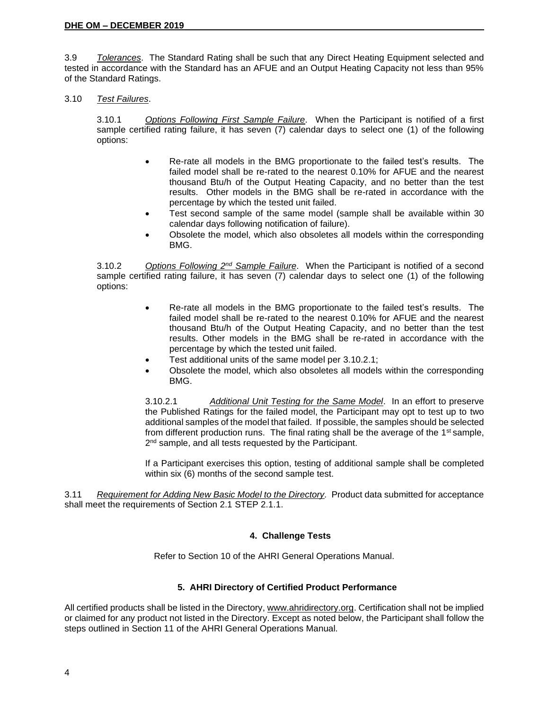3.9 *Tolerances*. The Standard Rating shall be such that any Direct Heating Equipment selected and tested in accordance with the Standard has an AFUE and an Output Heating Capacity not less than 95% of the Standard Ratings.

#### 3.10 *Test Failures*.

3.10.1 *Options Following First Sample Failure*. When the Participant is notified of a first sample certified rating failure, it has seven (7) calendar days to select one (1) of the following options:

- Re-rate all models in the BMG proportionate to the failed test's results. The failed model shall be re-rated to the nearest 0.10% for AFUE and the nearest thousand Btu/h of the Output Heating Capacity, and no better than the test results. Other models in the BMG shall be re-rated in accordance with the percentage by which the tested unit failed.
- Test second sample of the same model (sample shall be available within 30 calendar days following notification of failure).
- Obsolete the model, which also obsoletes all models within the corresponding BMG.

3.10.2 *Options Following 2nd Sample Failure*. When the Participant is notified of a second sample certified rating failure, it has seven (7) calendar days to select one (1) of the following options:

- Re-rate all models in the BMG proportionate to the failed test's results. The failed model shall be re-rated to the nearest 0.10% for AFUE and the nearest thousand Btu/h of the Output Heating Capacity, and no better than the test results. Other models in the BMG shall be re-rated in accordance with the percentage by which the tested unit failed.
- Test additional units of the same model per 3.10.2.1;
- Obsolete the model, which also obsoletes all models within the corresponding BMG.

3.10.2.1 *Additional Unit Testing for the Same Model*. In an effort to preserve the Published Ratings for the failed model, the Participant may opt to test up to two additional samples of the model that failed. If possible, the samples should be selected from different production runs. The final rating shall be the average of the  $1<sup>st</sup>$  sample, 2<sup>nd</sup> sample, and all tests requested by the Participant.

If a Participant exercises this option, testing of additional sample shall be completed within six (6) months of the second sample test.

3.11 *Requirement for Adding New Basic Model to the Directory.* Product data submitted for acceptance shall meet the requirements of Section 2.1 STEP 2.1.1.

# **4. Challenge Tests**

Refer to Section 10 of the AHRI General Operations Manual.

# **5. AHRI Directory of Certified Product Performance**

All certified products shall be listed in the Directory, [www.ahridirectory.org.](http://www.ahridirectory.org/) Certification shall not be implied or claimed for any product not listed in the Directory. Except as noted below, the Participant shall follow the steps outlined in Section 11 of the AHRI General Operations Manual.